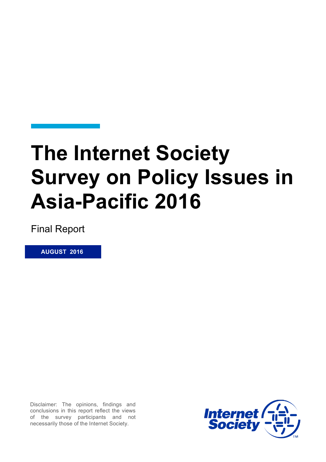# **The Internet Society Survey on Policy Issues in Asia-Pacific 2016**

Final Report

 **AUGUST 2016**

Disclaimer: The opinions, findings and conclusions in this report reflect the views of the survey participants and not necessarily those of the Internet Society.

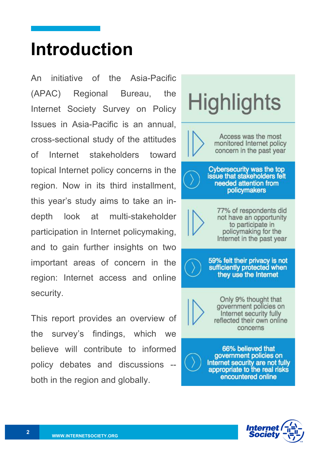# **Introduction**

An initiative of the Asia-Pacific (APAC) Regional Bureau, the Internet Society Survey on Policy Issues in Asia-Pacific is an annual, cross-sectional study of the attitudes of Internet stakeholders toward topical Internet policy concerns in the region. Now in its third installment, this year's study aims to take an indepth look at multi-stakeholder participation in Internet policymaking, and to gain further insights on two important areas of concern in the region: Internet access and online security.

This report provides an overview of the survey's findings, which we believe will contribute to informed policy debates and discussions both in the region and globally.





encountered online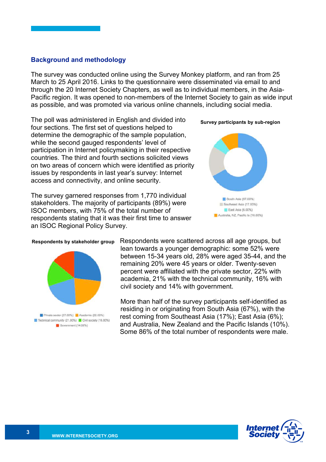#### **Background and methodology**

The survey was conducted online using the Survey Monkey platform, and ran from 25 March to 25 April 2016. Links to the questionnaire were disseminated via email to and through the 20 Internet Society Chapters, as well as to individual members, in the Asia-Pacific region. It was opened to non-members of the Internet Society to gain as wide input as possible, and was promoted via various online channels, including social media.

The poll was administered in English and divided into four sections. The first set of questions helped to determine the demographic of the sample population, while the second gauged respondents' level of participation in Internet policymaking in their respective countries. The third and fourth sections solicited views on two areas of concern which were identified as priority issues by respondents in last year's survey: Internet access and connectivity, and online security.

The survey garnered responses from 1,770 individual stakeholders. The majority of participants (89%) were ISOC members, with 75% of the total number of respondents stating that it was their first time to answer an ISOC Regional Policy Survey.





#### **Respondents by stakeholder group**



Respondents were scattered across all age groups, but lean towards a younger demographic: some 52% were between 15-34 years old, 28% were aged 35-44, and the remaining 20% were 45 years or older. Twenty-seven percent were affiliated with the private sector, 22% with academia, 21% with the technical community, 16% with civil society and 14% with government.

More than half of the survey participants self-identified as residing in or originating from South Asia (67%), with the rest coming from Southeast Asia (17%); East Asia (6%); and Australia, New Zealand and the Pacific Islands (10%). Some 86% of the total number of respondents were male.

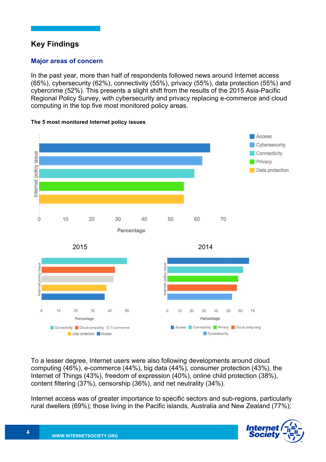# **Key Findings**

## **Major areas of concern**

In the past year, more than half of respondents followed news around Internet access (65%), cybersecurity (62%), connectivity (55%), privacy (55%), data protection (55%) and cybercrime (52%). This presents a slight shift from the results of the 2015 Asia-Pacific Regional Policy Survey, with cybersecurity and privacy replacing e-commerce and cloud computing in the top five most monitored policy areas.



#### **The 5 most monitored Internet policy issues**



To a lesser degree, Internet users were also following developments around cloud computing (46%), e-commerce (44%), big data (44%), consumer protection (43%), the Internet of Things (43%), freedom of expression (40%), online child protection (38%), content filtering (37%), censorship (36%), and net neutrality (34%).

Internet access was of greater importance to specific sectors and sub-regions, particularly rural dwellers (69%); those living in the Pacific islands, Australia and New Zealand (77%);

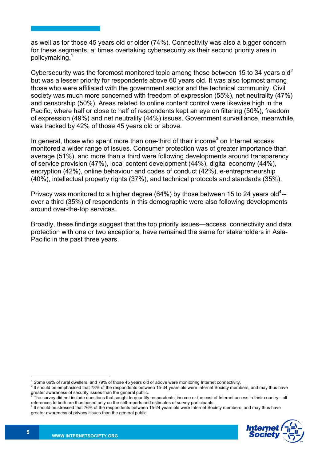as well as for those 45 years old or older (74%). Connectivity was also a bigger concern for these segments, at times overtaking cybersecurity as their second priority area in policymaking.<sup>1</sup>

Cybersecurity was the foremost monitored topic among those between 15 to 34 years old<sup>2</sup> but was a lesser priority for respondents above 60 years old. It was also topmost among those who were affiliated with the government sector and the technical community. Civil society was much more concerned with freedom of expression (55%), net neutrality (47%) and censorship (50%). Areas related to online content control were likewise high in the Pacific, where half or close to half of respondents kept an eye on filtering (50%), freedom of expression (49%) and net neutrality (44%) issues. Government surveillance, meanwhile, was tracked by 42% of those 45 years old or above.

In general, those who spent more than one-third of their income<sup>3</sup> on Internet access monitored a wider range of issues. Consumer protection was of greater importance than average (51%), and more than a third were following developments around transparency of service provision (47%), local content development (44%), digital economy (44%), encryption (42%), online behaviour and codes of conduct (42%), e-entrepreneurship (40%), intellectual property rights (37%), and technical protocols and standards (35%).

Privacy was monitored to a higher degree (64%) by those between 15 to 24 years old<sup>4</sup>-over a third (35%) of respondents in this demographic were also following developments around over-the-top services.

Broadly, these findings suggest that the top priority issues—access, connectivity and data protection with one or two exceptions, have remained the same for stakeholders in Asia-Pacific in the past three years.

<sup>&</sup>lt;sup>4</sup> It should be stressed that 76% of the respondents between 15-24 years old were Internet Society members, and may thus have greater awareness of privacy issues than the general public.



Some 66% of rural dwellers, and 79% of those 45 years old or above were monitoring Internet connectivity,

<sup>2</sup> It should be emphasised that 78% of the respondents between 15-34 years old were Internet Society members, and may thus have greater awareness of security issues than the general public.

 $3$  The survey did not include questions that sought to quantify respondents' income or the cost of Internet access in their country—all references to both are thus based only on the self-reports and estimates of survey p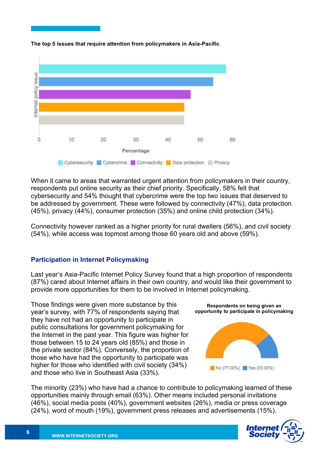

**The top 5 issues that require attention from policymakers in Asia-Pacific**

When it came to areas that warranted urgent attention from policymakers in their country, respondents put online security as their chief priority. Specifically, 58% felt that cybersecurity and 54% thought that cybercrime were the top two issues that deserved to be addressed by government. These were followed by connectivity (47%), data protection (45%), privacy (44%), consumer protection (35%) and online child protection (34%).

Connectivity however ranked as a higher priority for rural dwellers (56%), and civil society (54%), while access was topmost among those 60 years old and above (59%).

### **Participation in Internet Policymaking**

Last year's Asia-Pacific Internet Policy Survey found that a high proportion of respondents (87%) cared about Internet affairs in their own country, and would like their government to provide more opportunities for them to be involved in Internet policymaking.

Those findings were given more substance by this year's survey, with 77% of respondents saying that they have not had an opportunity to participate in public consultations for government policymaking for the Internet in the past year. This figure was higher for those between 15 to 24 years old (85%) and those in the private sector (84%). Conversely, the proportion of those who have had the opportunity to participate was higher for those who identified with civil society (34%) and those who live in Southeast Asia (33%).



The minority (23%) who have had a chance to contribute to policymaking learned of these opportunities mainly through email (63%). Other means included personal invitations (46%), social media posts (40%), government websites (26%), media or press coverage (24%), word of mouth (19%), government press releases and advertisements (15%).

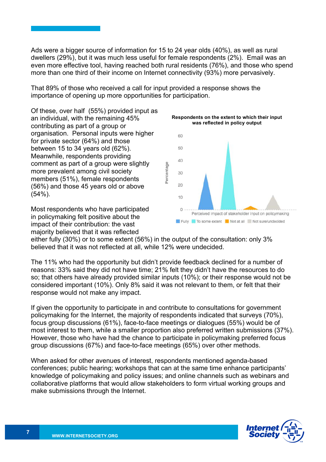Ads were a bigger source of information for 15 to 24 year olds (40%), as well as rural dwellers (29%), but it was much less useful for female respondents (2%). Email was an even more effective tool, having reached both rural residents (76%), and those who spend more than one third of their income on Internet connectivity (93%) more pervasively.

That 89% of those who received a call for input provided a response shows the importance of opening up more opportunities for participation.

Of these, over half (55%) provided input as an individual, with the remaining 45% contributing as part of a group or organisation. Personal inputs were higher for private sector (64%) and those between 15 to 34 years old (62%). Meanwhile, respondents providing comment as part of a group were slightly more prevalent among civil society members (51%), female respondents (56%) and those 45 years old or above  $(54\%)$ .

Most respondents who have participated in policymaking felt positive about the impact of their contribution: the vast majority believed that it was reflected



either fully (30%) or to some extent (56%) in the output of the consultation: only 3% believed that it was not reflected at all, while 12% were undecided.

The 11% who had the opportunity but didn't provide feedback declined for a number of reasons: 33% said they did not have time; 21% felt they didn't have the resources to do so; that others have already provided similar inputs (10%); or their response would not be considered important (10%). Only 8% said it was not relevant to them, or felt that their response would not make any impact.

If given the opportunity to participate in and contribute to consultations for government policymaking for the Internet, the majority of respondents indicated that surveys (70%), focus group discussions (61%), face-to-face meetings or dialogues (55%) would be of most interest to them, while a smaller proportion also preferred written submissions (37%). However, those who have had the chance to participate in policymaking preferred focus group discussions (67%) and face-to-face meetings (65%) over other methods.

When asked for other avenues of interest, respondents mentioned agenda-based conferences; public hearing; workshops that can at the same time enhance participants' knowledge of policymaking and policy issues; and online channels such as webinars and collaborative platforms that would allow stakeholders to form virtual working groups and make submissions through the Internet.

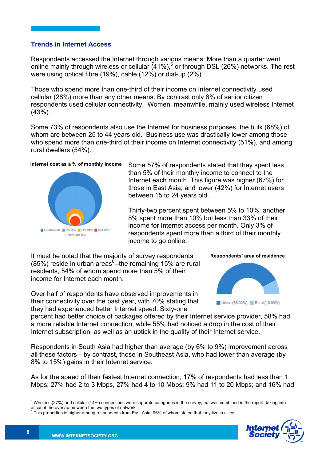#### **Trends in Internet Access**

Respondents accessed the Internet through various means: More than a quarter went online mainly through wireless or cellular (41%),<sup>5</sup> or through DSL (26%) networks. The rest were using optical fibre (19%), cable (12%) or dial-up (2%).

Those who spend more than one-third of their income on Internet connectivity used cellular (28%) more than any other means. By contrast only 6% of senior citizen respondents used cellular connectivity. Women, meanwhile, mainly used wireless Internet (43%).

Some 73% of respondents also use the Internet for business purposes, the bulk (68%) of whom are between 25 to 44 years old. Business use was drastically lower among those who spend more than one-third of their income on Internet connectivity (51%), and among rural dwellers (54%).

#### **Internet cost as a % of monthly income**



Some 57% of respondents stated that they spent less than 5% of their monthly income to connect to the Internet each month. This figure was higher (67%) for those in East Asia, and lower (42%) for Internet users between 15 to 24 years old.

Thirty-two percent spent between 5% to 10%, another 8% spent more than 10% but less than 33% of their income for Internet access per month. Only 3% of respondents spent more than a third of their monthly income to go online.

It must be noted that the majority of survey respondents  $(85%)$  reside in urban areas<sup>6</sup>--the remaining 15% are rural residents, 54% of whom spend more than 5% of their income for Internet each month.

Over half of respondents have observed improvements in their connectivity over the past year, with 70% stating that they had experienced better Internet speed. Sixty-one



percent had better choice of packages offered by their Internet service provider, 58% had a more reliable Internet connection, while 55% had noticed a drop in the cost of their Internet subscription, as well as an uptick in the quality of their Internet service.

Respondents in South Asia had higher than average (by 6% to 9%) improvement across all these factors—by contrast, those in Southeast Asia, who had lower than average (by 8% to 15%) gains in their Internet service.

As for the speed of their fastest Internet connection, 17% of respondents had less than 1 Mbps; 27% had 2 to 3 Mbps, 27% had 4 to 10 Mbps; 9% had 11 to 20 Mbps; and 16% had



<sup>&</sup>lt;sup>5</sup> Wireless (27%) and cellular (14%) connections were separate categories in the survey, but was combined in the report, taking into account the overlap between the two types of network<br>
<sup>6</sup> This proportion is higher among respondents from East Asia, 96% of whom stated that they live in cities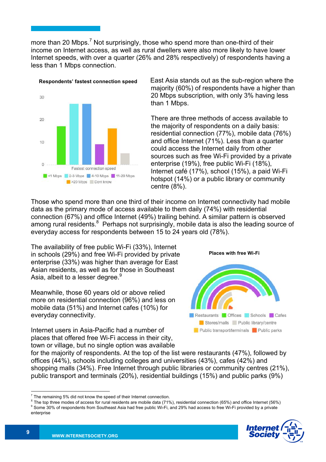more than 20 Mbps.<sup>7</sup> Not surprisingly, those who spend more than one-third of their income on Internet access, as well as rural dwellers were also more likely to have lower Internet speeds, with over a quarter (26% and 28% respectively) of respondents having a less than 1 Mbps connection.



East Asia stands out as the sub-region where the majority (60%) of respondents have a higher than 20 Mbps subscription, with only 3% having less than 1 Mbps.

There are three methods of access available to the majority of respondents on a daily basis: residential connection (77%), mobile data (76%) and office Internet (71%). Less than a quarter could access the Internet daily from other sources such as free Wi-Fi provided by a private enterprise (19%), free public Wi-Fi (18%), Internet café (17%), school (15%), a paid Wi-Fi hotspot (14%) or a public library or community centre (8%).

Those who spend more than one third of their income on Internet connectivity had mobile data as the primary mode of access available to them daily (74%) with residential connection (67%) and office Internet (49%) trailing behind. A similar pattern is observed among rural residents.<sup>8</sup> Perhaps not surprisingly, mobile data is also the leading source of everyday access for respondents between 15 to 24 years old (78%).

The availability of free public Wi-Fi (33%), Internet in schools (29%) and free Wi-Fi provided by private enterprise (33%) was higher than average for East Asian residents, as well as for those in Southeast Asia, albeit to a lesser degree.<sup>9</sup>

Meanwhile, those 60 years old or above relied more on residential connection (96%) and less on mobile data (51%) and Internet cafes (10%) for everyday connectivity.

Internet users in Asia-Pacific had a number of places that offered free Wi-Fi access in their city, town or village, but no single option was available



for the majority of respondents. At the top of the list were restaurants (47%), followed by offices (44%), schools including colleges and universities (43%), cafes (42%) and shopping malls (34%). Free Internet through public libraries or community centres (21%), public transport and terminals (20%), residential buildings (15%) and public parks (9%)

The remaining 5% did not know the speed of their Internet connection.<br>
<sup>8</sup> The top three modes of access for rural residents are mobile data (71%), residential connection (65%) and office Internet (56%)<br>
<sup>8</sup> Some 30% of r enterprise

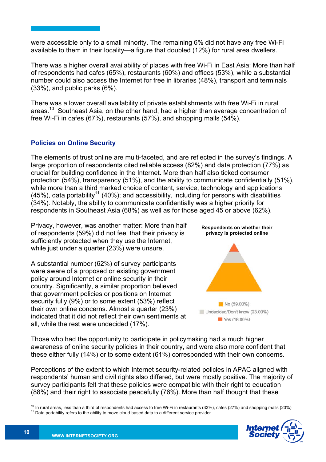were accessible only to a small minority. The remaining 6% did not have any free Wi-Fi available to them in their locality—a figure that doubled (12%) for rural area dwellers.

There was a higher overall availability of places with free Wi-Fi in East Asia: More than half of respondents had cafes (65%), restaurants (60%) and offices (53%), while a substantial number could also access the Internet for free in libraries (48%), transport and terminals (33%), and public parks (6%).

There was a lower overall availability of private establishments with free Wi-Fi in rural areas.<sup>10</sup> Southeast Asia, on the other hand, had a higher than average concentration of free Wi-Fi in cafes (67%), restaurants (57%), and shopping malls (54%).

# **Policies on Online Security**

The elements of trust online are multi-faceted, and are reflected in the survey's findings. A large proportion of respondents cited reliable access (82%) and data protection (77%) as crucial for building confidence in the Internet. More than half also ticked consumer protection (54%), transparency (51%), and the ability to communicate confidentially (51%), while more than a third marked choice of content, service, technology and applications  $(45%)$ , data portability<sup>11</sup> (40%); and accessibility, including for persons with disabilities (34%). Notably, the ability to communicate confidentially was a higher priority for respondents in Southeast Asia (68%) as well as for those aged 45 or above (62%).

Privacy, however, was another matter: More than half of respondents (59%) did not feel that their privacy is sufficiently protected when they use the Internet, while just under a quarter (23%) were unsure.

A substantial number (62%) of survey participants were aware of a proposed or existing government policy around Internet or online security in their country. Significantly, a similar proportion believed that government policies or positions on Internet security fully (9%) or to some extent (53%) reflect their own online concerns. Almost a quarter (23%) indicated that it did not reflect their own sentiments at all, while the rest were undecided (17%).



Those who had the opportunity to participate in policymaking had a much higher awareness of online security policies in their country, and were also more confident that these either fully (14%) or to some extent (61%) corresponded with their own concerns.

Perceptions of the extent to which Internet security-related policies in APAC aligned with respondents' human and civil rights also differed, but were mostly positive. The majority of survey participants felt that these policies were compatible with their right to education (88%) and their right to associate peacefully (76%). More than half thought that these

 $10$  In rural areas, less than a third of respondents had access to free Wi-Fi in restaurants (33%), cafes (27%) and shopping malls (23%)  $11$  Data portability refers to the ability to move cloud-based data to a different

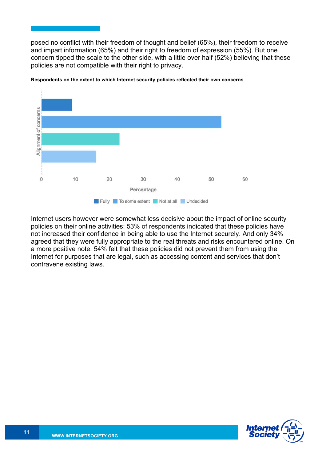posed no conflict with their freedom of thought and belief (65%), their freedom to receive and impart information (65%) and their right to freedom of expression (55%). But one concern tipped the scale to the other side, with a little over half (52%) believing that these policies are not compatible with their right to privacy.



**Respondents on the extent to which Internet security policies reflected their own concerns**

Internet users however were somewhat less decisive about the impact of online security policies on their online activities: 53% of respondents indicated that these policies have not increased their confidence in being able to use the Internet securely. And only 34% agreed that they were fully appropriate to the real threats and risks encountered online. On a more positive note, 54% felt that these policies did not prevent them from using the Internet for purposes that are legal, such as accessing content and services that don't contravene existing laws.

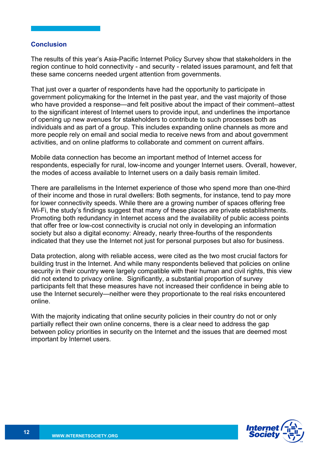#### **Conclusion**

The results of this year's Asia-Pacific Internet Policy Survey show that stakeholders in the region continue to hold connectivity - and security - related issues paramount, and felt that these same concerns needed urgent attention from governments.

That just over a quarter of respondents have had the opportunity to participate in government policymaking for the Internet in the past year, and the vast majority of those who have provided a response—and felt positive about the impact of their comment--attest to the significant interest of Internet users to provide input, and underlines the importance of opening up new avenues for stakeholders to contribute to such processes both as individuals and as part of a group. This includes expanding online channels as more and more people rely on email and social media to receive news from and about government activities, and on online platforms to collaborate and comment on current affairs.

Mobile data connection has become an important method of Internet access for respondents, especially for rural, low-income and younger Internet users. Overall, however, the modes of access available to Internet users on a daily basis remain limited.

There are parallelisms in the Internet experience of those who spend more than one-third of their income and those in rural dwellers: Both segments, for instance, tend to pay more for lower connectivity speeds. While there are a growing number of spaces offering free Wi-Fi, the study's findings suggest that many of these places are private establishments. Promoting both redundancy in Internet access and the availability of public access points that offer free or low-cost connectivity is crucial not only in developing an information society but also a digital economy: Already, nearly three-fourths of the respondents indicated that they use the Internet not just for personal purposes but also for business.

Data protection, along with reliable access, were cited as the two most crucial factors for building trust in the Internet. And while many respondents believed that policies on online security in their country were largely compatible with their human and civil rights, this view did not extend to privacy online. Significantly, a substantial proportion of survey participants felt that these measures have not increased their confidence in being able to use the Internet securely—neither were they proportionate to the real risks encountered online.

With the majority indicating that online security policies in their country do not or only partially reflect their own online concerns, there is a clear need to address the gap between policy priorities in security on the Internet and the issues that are deemed most important by Internet users.